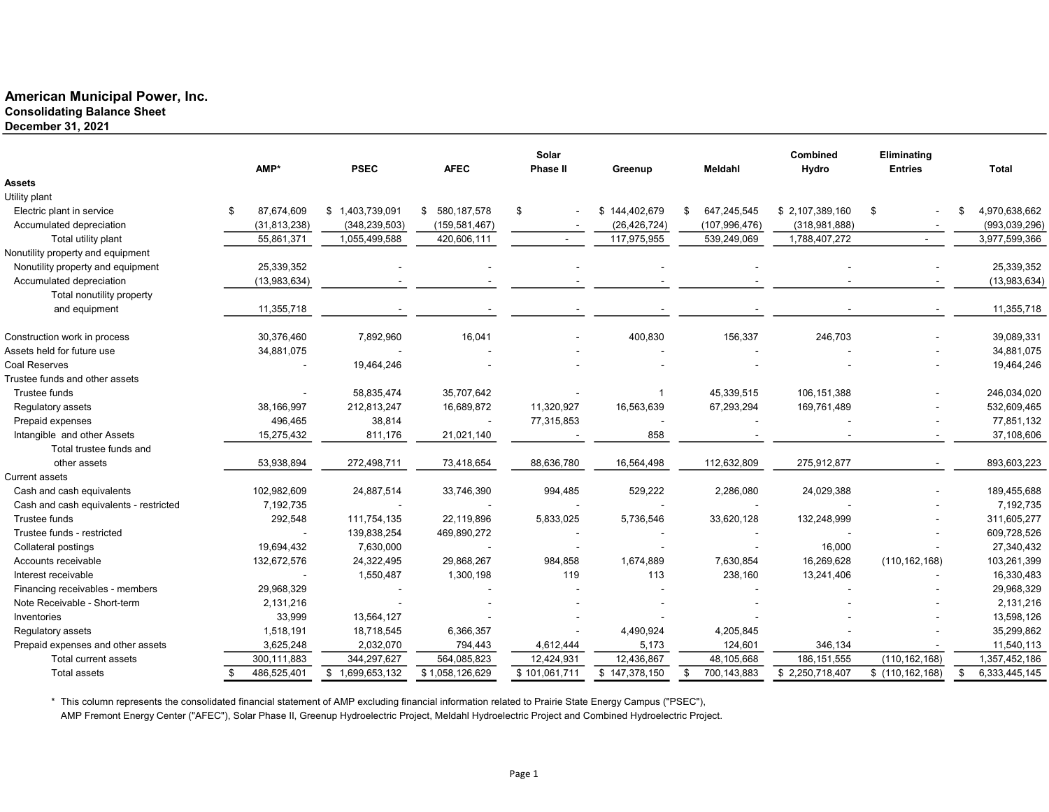## American Municipal Power, Inc. Consolidating Balance Sheet December 31, 2021

|                                        | AMP*             | <b>PSEC</b>     | <b>AFEC</b>     | Solar<br><b>Phase II</b> | Greenup        | Meldahl           | Combined<br>Hydro | Eliminating<br><b>Entries</b> | <b>Total</b>    |
|----------------------------------------|------------------|-----------------|-----------------|--------------------------|----------------|-------------------|-------------------|-------------------------------|-----------------|
| Assets                                 |                  |                 |                 |                          |                |                   |                   |                               |                 |
| Utility plant                          |                  |                 |                 |                          |                |                   |                   |                               |                 |
| Electric plant in service              | 87,674,609<br>\$ | \$1,403,739,091 | \$ 580,187,578  | \$                       | \$144,402,679  | 647,245,545<br>\$ | \$2,107,389,160   | \$                            | 4,970,638,662   |
| Accumulated depreciation               | (31, 813, 238)   | (348, 239, 503) | (159, 581, 467) |                          | (26, 426, 724) | (107, 996, 476)   | (318, 981, 888)   |                               | (993, 039, 296) |
| Total utility plant                    | 55,861,371       | 1,055,499,588   | 420,606,111     | $\sim$                   | 117,975,955    | 539,249,069       | 1,788,407,272     |                               | 3,977,599,366   |
| Nonutility property and equipment      |                  |                 |                 |                          |                |                   |                   |                               |                 |
| Nonutility property and equipment      | 25,339,352       |                 |                 |                          |                |                   |                   |                               | 25,339,352      |
| Accumulated depreciation               | (13,983,634)     |                 |                 |                          |                |                   |                   |                               | (13,983,634)    |
| Total nonutility property              |                  |                 |                 |                          |                |                   |                   |                               |                 |
| and equipment                          | 11,355,718       |                 |                 |                          |                |                   |                   |                               | 11,355,718      |
| Construction work in process           | 30,376,460       | 7,892,960       | 16,041          |                          | 400,830        | 156,337           | 246,703           |                               | 39,089,331      |
| Assets held for future use             | 34,881,075       |                 |                 |                          |                |                   |                   |                               | 34,881,075      |
| <b>Coal Reserves</b>                   |                  | 19,464,246      |                 |                          |                |                   |                   |                               | 19,464,246      |
| Trustee funds and other assets         |                  |                 |                 |                          |                |                   |                   |                               |                 |
| Trustee funds                          |                  | 58,835,474      | 35,707,642      |                          | 1              | 45,339,515        | 106,151,388       |                               | 246,034,020     |
| Regulatory assets                      | 38,166,997       | 212,813,247     | 16,689,872      | 11,320,927               | 16,563,639     | 67,293,294        | 169,761,489       |                               | 532,609,465     |
| Prepaid expenses                       | 496,465          | 38,814          | $\sim$          | 77,315,853               |                |                   |                   |                               | 77,851,132      |
| Intangible and other Assets            | 15,275,432       | 811,176         | 21,021,140      |                          | 858            |                   |                   |                               | 37,108,606      |
| Total trustee funds and                |                  |                 |                 |                          |                |                   |                   |                               |                 |
| other assets                           | 53,938,894       | 272,498,711     | 73,418,654      | 88,636,780               | 16,564,498     | 112,632,809       | 275,912,877       |                               | 893,603,223     |
| Current assets                         |                  |                 |                 |                          |                |                   |                   |                               |                 |
| Cash and cash equivalents              | 102,982,609      | 24,887,514      | 33,746,390      | 994,485                  | 529,222        | 2,286,080         | 24,029,388        |                               | 189,455,688     |
| Cash and cash equivalents - restricted | 7,192,735        |                 |                 |                          |                |                   |                   |                               | 7,192,735       |
| Trustee funds                          | 292,548          | 111,754,135     | 22,119,896      | 5,833,025                | 5,736,546      | 33,620,128        | 132,248,999       |                               | 311,605,277     |
| Trustee funds - restricted             |                  | 139,838,254     | 469,890,272     |                          |                |                   |                   |                               | 609,728,526     |
| Collateral postings                    | 19,694,432       | 7,630,000       |                 |                          |                |                   | 16,000            |                               | 27,340,432      |
| Accounts receivable                    | 132,672,576      | 24,322,495      | 29,868,267      | 984,858                  | 1,674,889      | 7,630,854         | 16,269,628        | (110, 162, 168)               | 103,261,399     |
| Interest receivable                    |                  | 1,550,487       | 1,300,198       | 119                      | 113            | 238,160           | 13,241,406        |                               | 16,330,483      |
| Financing receivables - members        | 29,968,329       |                 |                 |                          |                |                   |                   |                               | 29,968,329      |
| Note Receivable - Short-term           | 2,131,216        |                 |                 |                          |                |                   |                   |                               | 2,131,216       |
| Inventories                            | 33,999           | 13,564,127      |                 |                          |                |                   |                   |                               | 13,598,126      |
| Regulatory assets                      | 1,518,191        | 18,718,545      | 6,366,357       |                          | 4,490,924      | 4,205,845         |                   |                               | 35,299,862      |
| Prepaid expenses and other assets      | 3,625,248        | 2,032,070       | 794,443         | 4,612,444                | 5,173          | 124,601           | 346,134           |                               | 11,540,113      |
| Total current assets                   | 300,111,883      | 344,297,627     | 564,085,823     | 12,424,931               | 12,436,867     | 48,105,668        | 186, 151, 555     | (110, 162, 168)               | 1,357,452,186   |
| <b>Total assets</b>                    | 486,525,401      | \$1,699,653,132 | \$1,058,126,629 | \$101,061,711            | \$147,378,150  | 700,143,883<br>\$ | \$2,250,718,407   | \$(110, 162, 168)             | 6,333,445,145   |

\* This column represents the consolidated financial statement of AMP excluding financial information related to Prairie State Energy Campus ("PSEC"),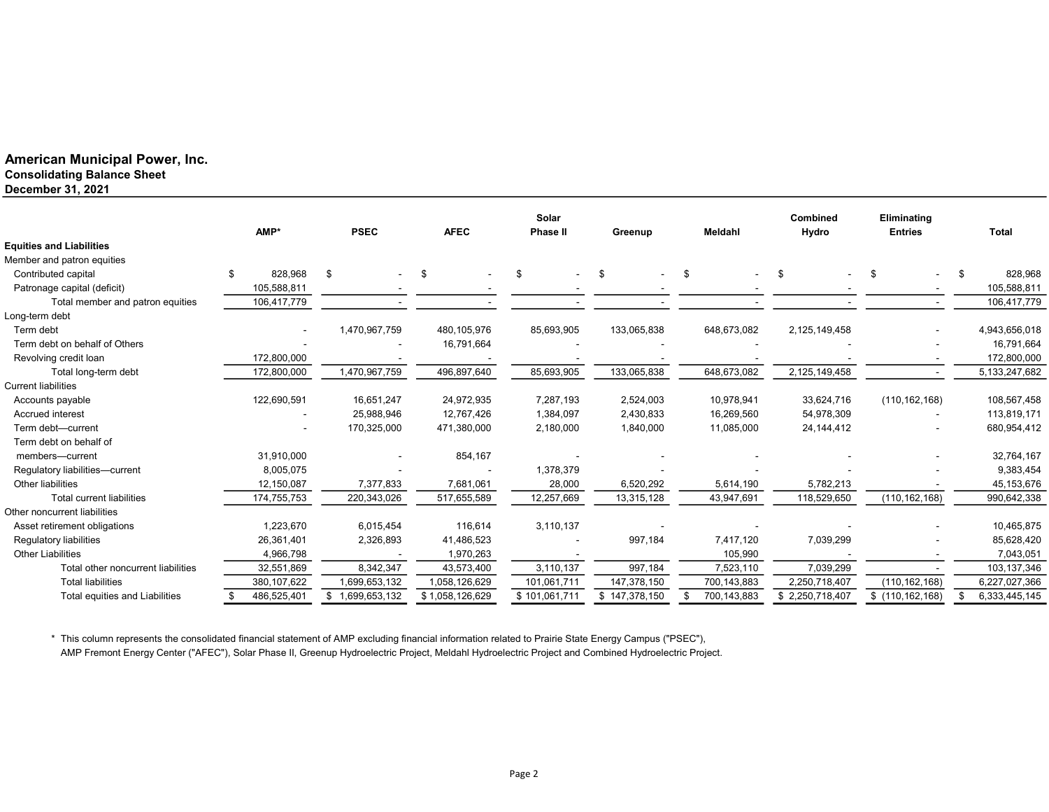## American Municipal Power, Inc. Consolidating Balance Sheet

December 31, 2021

|                                    | AMP*          | <b>PSEC</b>          | <b>AFEC</b>     | Solar<br><b>Phase II</b> | Greenup       | Meldahl     | <b>Combined</b><br>Hydro | Eliminating<br><b>Entries</b> | <b>Total</b>  |
|------------------------------------|---------------|----------------------|-----------------|--------------------------|---------------|-------------|--------------------------|-------------------------------|---------------|
| <b>Equities and Liabilities</b>    |               |                      |                 |                          |               |             |                          |                               |               |
| Member and patron equities         |               |                      |                 |                          |               |             |                          |                               |               |
| Contributed capital                | \$<br>828,968 | \$<br>$\overline{a}$ | \$              | \$                       | \$<br>۰.      | \$          | \$<br>$\sim$             | -\$                           | \$<br>828,968 |
| Patronage capital (deficit)        | 105,588,811   |                      |                 |                          |               |             |                          |                               | 105,588,811   |
| Total member and patron equities   | 106,417,779   |                      |                 |                          |               |             |                          |                               | 106,417,779   |
| Long-term debt                     |               |                      |                 |                          |               |             |                          |                               |               |
| Term debt                          |               | 1,470,967,759        | 480,105,976     | 85,693,905               | 133,065,838   | 648,673,082 | 2,125,149,458            |                               | 4,943,656,018 |
| Term debt on behalf of Others      |               |                      | 16,791,664      |                          |               |             |                          |                               | 16,791,664    |
| Revolving credit loan              | 172,800,000   |                      |                 |                          |               |             |                          |                               | 172,800,000   |
| Total long-term debt               | 172,800,000   | 1,470,967,759        | 496,897,640     | 85,693,905               | 133,065,838   | 648,673,082 | 2,125,149,458            |                               | 5,133,247,682 |
| <b>Current liabilities</b>         |               |                      |                 |                          |               |             |                          |                               |               |
| Accounts payable                   | 122,690,591   | 16,651,247           | 24,972,935      | 7,287,193                | 2,524,003     | 10,978,941  | 33,624,716               | (110, 162, 168)               | 108,567,458   |
| Accrued interest                   |               | 25,988,946           | 12,767,426      | 1,384,097                | 2,430,833     | 16,269,560  | 54,978,309               |                               | 113,819,171   |
| Term debt-current                  |               | 170,325,000          | 471,380,000     | 2,180,000                | 1,840,000     | 11,085,000  | 24,144,412               |                               | 680,954,412   |
| Term debt on behalf of             |               |                      |                 |                          |               |             |                          |                               |               |
| members-current                    | 31,910,000    |                      | 854,167         |                          |               |             |                          |                               | 32,764,167    |
| Regulatory liabilities-current     | 8,005,075     |                      |                 | 1,378,379                |               |             |                          |                               | 9,383,454     |
| Other liabilities                  | 12,150,087    | 7,377,833            | 7,681,061       | 28,000                   | 6,520,292     | 5,614,190   | 5,782,213                |                               | 45, 153, 676  |
| <b>Total current liabilities</b>   | 174,755,753   | 220,343,026          | 517,655,589     | 12,257,669               | 13,315,128    | 43,947,691  | 118,529,650              | (110, 162, 168)               | 990,642,338   |
| Other noncurrent liabilities       |               |                      |                 |                          |               |             |                          |                               |               |
| Asset retirement obligations       | 1,223,670     | 6,015,454            | 116,614         | 3,110,137                |               |             |                          |                               | 10,465,875    |
| Regulatory liabilities             | 26,361,401    | 2,326,893            | 41,486,523      |                          | 997,184       | 7,417,120   | 7,039,299                |                               | 85,628,420    |
| <b>Other Liabilities</b>           | 4,966,798     |                      | 1,970,263       |                          |               | 105,990     |                          |                               | 7,043,051     |
| Total other noncurrent liabilities | 32,551,869    | 8,342,347            | 43,573,400      | 3,110,137                | 997,184       | 7,523,110   | 7,039,299                |                               | 103,137,346   |
| <b>Total liabilities</b>           | 380, 107, 622 | 1,699,653,132        | 1,058,126,629   | 101,061,711              | 147,378,150   | 700,143,883 | 2,250,718,407            | (110, 162, 168)               | 6,227,027,366 |
| Total equities and Liabilities     | 486,525,401   | \$1,699,653,132      | \$1,058,126,629 | \$101,061,711            | \$147,378,150 | 700,143,883 | \$2,250,718,407          | \$(110, 162, 168)             | 6,333,445,145 |
|                                    |               |                      |                 |                          |               |             |                          |                               |               |

\* This column represents the consolidated financial statement of AMP excluding financial information related to Prairie State Energy Campus ("PSEC"),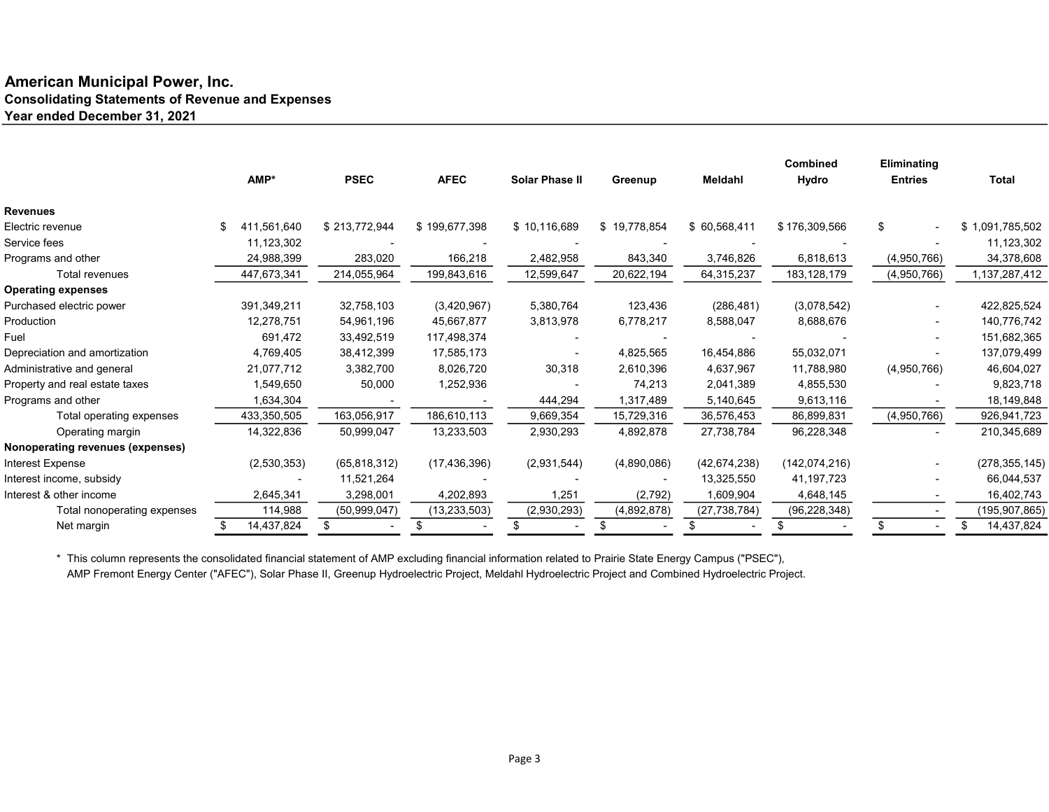# American Municipal Power, Inc. Consolidating Statements of Revenue and Expenses Year ended December 31, 2021

|                                  |  |             |                |                |                |              |                | <b>Combined</b> | Eliminating    |                 |  |
|----------------------------------|--|-------------|----------------|----------------|----------------|--------------|----------------|-----------------|----------------|-----------------|--|
|                                  |  | AMP*        | <b>PSEC</b>    | <b>AFEC</b>    | Solar Phase II | Greenup      | Meldahl        | Hydro           | <b>Entries</b> | <b>Total</b>    |  |
| <b>Revenues</b>                  |  |             |                |                |                |              |                |                 |                |                 |  |
| Electric revenue                 |  | 411.561.640 | \$213,772,944  | \$199,677,398  | \$10,116,689   | \$19,778,854 | \$60.568.411   | \$176,309,566   | \$             | \$1,091,785,502 |  |
| Service fees                     |  | 11,123,302  |                |                |                |              |                |                 |                | 11,123,302      |  |
| Programs and other               |  | 24,988,399  | 283,020        | 166,218        | 2,482,958      | 843,340      | 3,746,826      | 6,818,613       | (4,950,766)    | 34,378,608      |  |
| <b>Total revenues</b>            |  | 447,673,341 | 214,055,964    | 199,843,616    | 12,599,647     | 20,622,194   | 64,315,237     | 183, 128, 179   | (4,950,766)    | 1,137,287,412   |  |
| <b>Operating expenses</b>        |  |             |                |                |                |              |                |                 |                |                 |  |
| Purchased electric power         |  | 391,349,211 | 32,758,103     | (3,420,967)    | 5,380,764      | 123,436      | (286, 481)     | (3,078,542)     |                | 422,825,524     |  |
| Production                       |  | 12,278,751  | 54,961,196     | 45,667,877     | 3,813,978      | 6,778,217    | 8,588,047      | 8,688,676       |                | 140,776,742     |  |
| Fuel                             |  | 691,472     | 33,492,519     | 117,498,374    |                |              |                |                 |                | 151,682,365     |  |
| Depreciation and amortization    |  | 4,769,405   | 38,412,399     | 17,585,173     |                | 4,825,565    | 16,454,886     | 55,032,071      |                | 137,079,499     |  |
| Administrative and general       |  | 21,077,712  | 3,382,700      | 8,026,720      | 30,318         | 2,610,396    | 4,637,967      | 11,788,980      | (4,950,766)    | 46,604,027      |  |
| Property and real estate taxes   |  | 1,549,650   | 50,000         | 1,252,936      |                | 74,213       | 2,041,389      | 4,855,530       |                | 9,823,718       |  |
| Programs and other               |  | 1,634,304   |                |                | 444,294        | 1,317,489    | 5,140,645      | 9,613,116       |                | 18,149,848      |  |
| Total operating expenses         |  | 433,350,505 | 163,056,917    | 186,610,113    | 9,669,354      | 15,729,316   | 36,576,453     | 86,899,831      | (4,950,766)    | 926,941,723     |  |
| Operating margin                 |  | 14,322,836  | 50,999,047     | 13,233,503     | 2,930,293      | 4,892,878    | 27,738,784     | 96,228,348      |                | 210,345,689     |  |
| Nonoperating revenues (expenses) |  |             |                |                |                |              |                |                 |                |                 |  |
| Interest Expense                 |  | (2,530,353) | (65,818,312)   | (17, 436, 396) | (2,931,544)    | (4,890,086)  | (42, 674, 238) | (142, 074, 216) |                | (278, 355, 145) |  |
| Interest income, subsidy         |  |             | 11,521,264     |                |                |              | 13,325,550     | 41, 197, 723    |                | 66,044,537      |  |
| Interest & other income          |  | 2,645,341   | 3,298,001      | 4,202,893      | 1,251          | (2,792)      | 1,609,904      | 4,648,145       |                | 16,402,743      |  |
| Total nonoperating expenses      |  | 114,988     | (50, 999, 047) | (13,233,503)   | (2,930,293)    | (4,892,878)  | (27, 738, 784) | (96, 228, 348)  |                | (195, 907, 865) |  |
| Net margin                       |  | 14,437,824  | \$.            |                |                |              |                |                 |                | 14,437,824      |  |
|                                  |  |             |                |                |                |              |                |                 |                |                 |  |

\* This column represents the consolidated financial statement of AMP excluding financial information related to Prairie State Energy Campus ("PSEC"),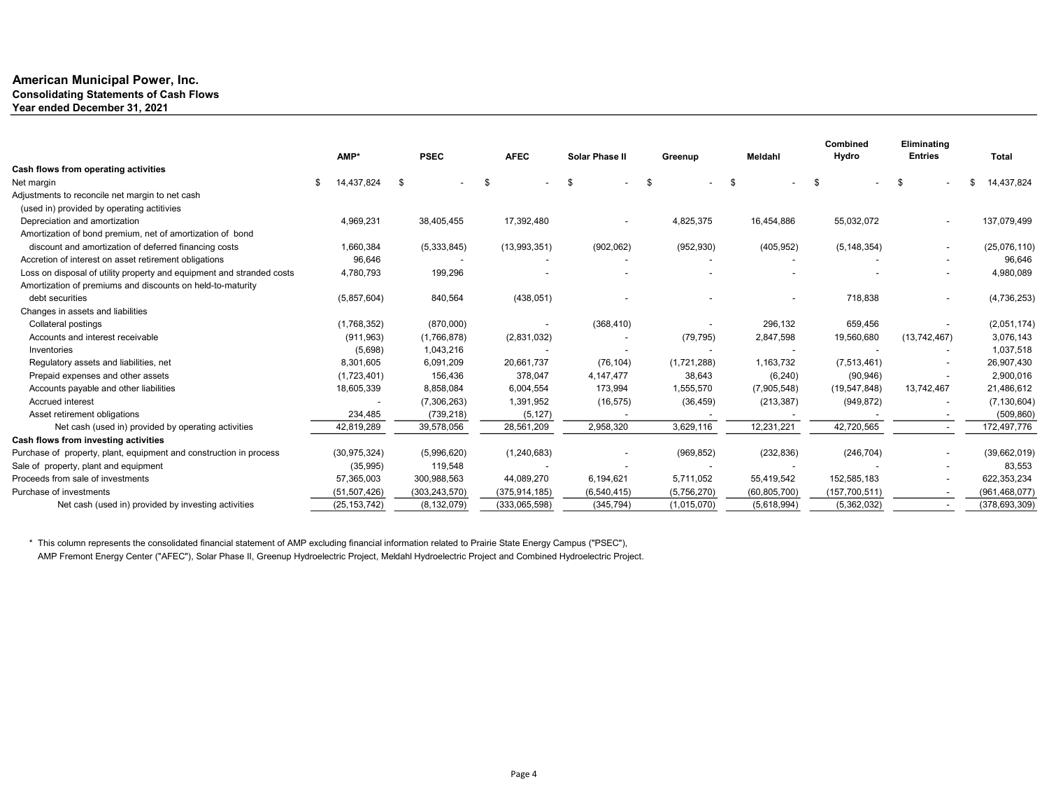#### American Municipal Power, Inc. Consolidating Statements of Cash Flows Year ended December 31, 2021

|                                                                       |                  |                 |                 |                |             |                | Combined        | Eliminating              |                   |
|-----------------------------------------------------------------------|------------------|-----------------|-----------------|----------------|-------------|----------------|-----------------|--------------------------|-------------------|
|                                                                       | AMP*             | <b>PSEC</b>     | <b>AFEC</b>     | Solar Phase II | Greenup     | Meldahl        | Hydro           | <b>Entries</b>           | <b>Total</b>      |
| Cash flows from operating activities                                  |                  |                 |                 |                |             |                |                 |                          |                   |
| Net margin                                                            | 14,437,824<br>\$ | -\$             |                 | -\$            |             | \$             | . ድ             | . ጽ                      | 14,437,824<br>\$. |
| Adjustments to reconcile net margin to net cash                       |                  |                 |                 |                |             |                |                 |                          |                   |
| (used in) provided by operating actitivies                            |                  |                 |                 |                |             |                |                 |                          |                   |
| Depreciation and amortization                                         | 4,969,231        | 38,405,455      | 17,392,480      |                | 4,825,375   | 16,454,886     | 55,032,072      | $\overline{\phantom{a}}$ | 137,079,499       |
| Amortization of bond premium, net of amortization of bond             |                  |                 |                 |                |             |                |                 |                          |                   |
| discount and amortization of deferred financing costs                 | 1,660,384        | (5,333,845)     | (13,993,351)    | (902, 062)     | (952, 930)  | (405, 952)     | (5, 148, 354)   | $\overline{\phantom{a}}$ | (25,076,110)      |
| Accretion of interest on asset retirement obligations                 | 96,646           |                 |                 |                |             |                |                 |                          | 96,646            |
| Loss on disposal of utility property and equipment and stranded costs | 4,780,793        | 199,296         |                 |                |             |                |                 | $\overline{\phantom{0}}$ | 4,980,089         |
| Amortization of premiums and discounts on held-to-maturity            |                  |                 |                 |                |             |                |                 |                          |                   |
| debt securities                                                       | (5,857,604)      | 840,564         | (438, 051)      |                |             |                | 718,838         | $\overline{\phantom{0}}$ | (4,736,253)       |
| Changes in assets and liabilities                                     |                  |                 |                 |                |             |                |                 |                          |                   |
| Collateral postings                                                   | (1,768,352)      | (870,000)       |                 | (368, 410)     |             | 296,132        | 659,456         |                          | (2,051,174)       |
| Accounts and interest receivable                                      | (911, 963)       | (1,766,878)     | (2,831,032)     |                | (79, 795)   | 2,847,598      | 19,560,680      | (13,742,467)             | 3,076,143         |
| Inventories                                                           | (5,698)          | 1,043,216       |                 |                |             |                |                 |                          | 1,037,518         |
| Regulatory assets and liabilities, net                                | 8,301,605        | 6,091,209       | 20,661,737      | (76, 104)      | (1,721,288) | 1,163,732      | (7,513,461)     |                          | 26,907,430        |
| Prepaid expenses and other assets                                     | (1,723,401)      | 156,436         | 378,047         | 4,147,477      | 38,643      | (6, 240)       | (90, 946)       |                          | 2,900,016         |
| Accounts payable and other liabilities                                | 18,605,339       | 8,858,084       | 6,004,554       | 173,994        | 1,555,570   | (7,905,548)    | (19, 547, 848)  | 13,742,467               | 21,486,612        |
| <b>Accrued interest</b>                                               |                  | (7,306,263)     | 1,391,952       | (16, 575)      | (36, 459)   | (213, 387)     | (949, 872)      |                          | (7, 130, 604)     |
| Asset retirement obligations                                          | 234,485          | (739, 218)      | (5, 127)        |                |             |                |                 |                          | (509, 860)        |
| Net cash (used in) provided by operating activities                   | 42,819,289       | 39,578,056      | 28,561,209      | 2,958,320      | 3,629,116   | 12,231,221     | 42,720,565      | $\overline{\phantom{a}}$ | 172,497,776       |
| Cash flows from investing activities                                  |                  |                 |                 |                |             |                |                 |                          |                   |
| Purchase of property, plant, equipment and construction in process    | (30, 975, 324)   | (5,996,620)     | (1,240,683)     |                | (969, 852)  | (232, 836)     | (246, 704)      |                          | (39,662,019)      |
| Sale of property, plant and equipment                                 | (35,995)         | 119,548         |                 |                |             |                |                 |                          | 83,553            |
| Proceeds from sale of investments                                     | 57,365,003       | 300,988,563     | 44,089,270      | 6,194,621      | 5,711,052   | 55,419,542     | 152,585,183     |                          | 622,353,234       |
| Purchase of investments                                               | (51, 507, 426)   | (303, 243, 570) | (375, 914, 185) | (6, 540, 415)  | (5,756,270) | (60, 805, 700) | (157, 700, 511) |                          | (961, 468, 077)   |
| Net cash (used in) provided by investing activities                   | (25, 153, 742)   | (8, 132, 079)   | (333,065,598)   | (345, 794)     | (1,015,070) | (5,618,994)    | (5,362,032)     | $\overline{\phantom{a}}$ | (378, 693, 309)   |

\* This column represents the consolidated financial statement of AMP excluding financial information related to Prairie State Energy Campus ("PSEC"),